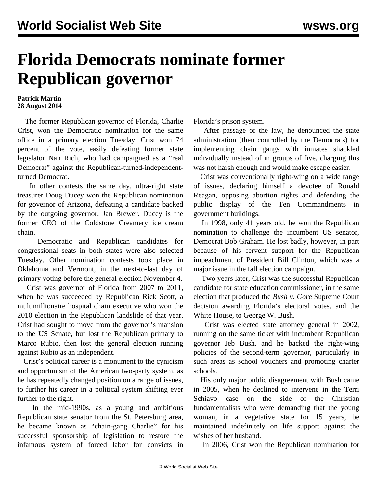## **Florida Democrats nominate former Republican governor**

## **Patrick Martin 28 August 2014**

 The former Republican governor of Florida, Charlie Crist, won the Democratic nomination for the same office in a primary election Tuesday. Crist won 74 percent of the vote, easily defeating former state legislator Nan Rich, who had campaigned as a "real Democrat" against the Republican-turned-independentturned Democrat.

 In other contests the same day, ultra-right state treasurer Doug Ducey won the Republican nomination for governor of Arizona, defeating a candidate backed by the outgoing governor, Jan Brewer. Ducey is the former CEO of the Coldstone Creamery ice cream chain.

 Democratic and Republican candidates for congressional seats in both states were also selected Tuesday. Other nomination contests took place in Oklahoma and Vermont, in the next-to-last day of primary voting before the general election November 4.

 Crist was governor of Florida from 2007 to 2011, when he was succeeded by Republican Rick Scott, a multimillionaire hospital chain executive who won the 2010 election in the Republican landslide of that year. Crist had sought to move from the governor's mansion to the US Senate, but lost the Republican primary to Marco Rubio, then lost the general election running against Rubio as an independent.

 Crist's political career is a monument to the cynicism and opportunism of the American two-party system, as he has repeatedly changed position on a range of issues, to further his career in a political system shifting ever further to the right.

 In the mid-1990s, as a young and ambitious Republican state senator from the St. Petersburg area, he became known as "chain-gang Charlie" for his successful sponsorship of legislation to restore the infamous system of forced labor for convicts in Florida's prison system.

 After passage of the law, he denounced the state administration (then controlled by the Democrats) for implementing chain gangs with inmates shackled individually instead of in groups of five, charging this was not harsh enough and would make escape easier.

 Crist was conventionally right-wing on a wide range of issues, declaring himself a devotee of Ronald Reagan, opposing abortion rights and defending the public display of the Ten Commandments in government buildings.

 In 1998, only 41 years old, he won the Republican nomination to challenge the incumbent US senator, Democrat Bob Graham. He lost badly, however, in part because of his fervent support for the Republican impeachment of President Bill Clinton, which was a major issue in the fall election campaign.

 Two years later, Crist was the successful Republican candidate for state education commissioner, in the same election that produced the *Bush v. Gore* Supreme Court decision awarding Florida's electoral votes, and the White House, to George W. Bush.

 Crist was elected state attorney general in 2002, running on the same ticket with incumbent Republican governor Jeb Bush, and he backed the right-wing policies of the second-term governor, particularly in such areas as school vouchers and promoting charter schools.

 His only major public disagreement with Bush came in 2005, when he declined to intervene in the Terri Schiavo case on the side of the Christian fundamentalists who were demanding that the young woman, in a vegetative state for 15 years, be maintained indefinitely on life support against the wishes of her husband.

In 2006, Crist won the Republican nomination for